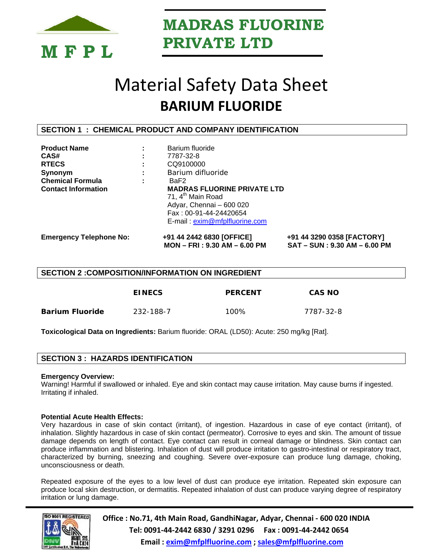

# Material Safety Data Sheet **BARIUM FLUORIDE**

### **SECTION 1 : CHEMICAL PRODUCT AND COMPANY IDENTIFICATION**

| <b>RTECS</b><br>Synonym<br><b>Chemical Formula</b><br><b>Contact Information</b> | CQ9100000<br>Barium difluoride<br>BaF2<br><b>MADRAS FLUORINE PRIVATE LTD</b>                                         |                                                            |
|----------------------------------------------------------------------------------|----------------------------------------------------------------------------------------------------------------------|------------------------------------------------------------|
|                                                                                  | 71, 4 <sup>th</sup> Main Road<br>Adyar, Chennai - 600 020<br>Fax: 00-91-44-24420654<br>E-mail: exim@mfplfluorine.com |                                                            |
| <b>Emergency Telephone No:</b>                                                   | +91 44 2442 6830 [OFFICE]<br>MON - FRI : 9.30 AM - 6.00 PM                                                           | +91 44 3290 0358 [FACTORY]<br>SAT - SUN: 9.30 AM - 6.00 PM |

#### **SECTION 2 :COMPOSITION/INFORMATION ON INGREDIENT**

|                 | <b>EINECS</b> | <b>PERCENT</b> | <b>CAS NO</b> |
|-----------------|---------------|----------------|---------------|
| Barium Fluoride | 232-188-7     | 100%           | 7787-32-8     |

**Toxicological Data on Ingredients:** Barium fluoride: ORAL (LD50): Acute: 250 mg/kg [Rat].

#### **SECTION 3 : HAZARDS IDENTIFICATION**

#### **Emergency Overview:**

Warning! Harmful if swallowed or inhaled. Eye and skin contact may cause irritation. May cause burns if ingested. Irritating if inhaled.

#### **Potential Acute Health Effects:**

Very hazardous in case of skin contact (irritant), of ingestion. Hazardous in case of eye contact (irritant), of inhalation. Slightly hazardous in case of skin contact (permeator). Corrosive to eyes and skin. The amount of tissue damage depends on length of contact. Eye contact can result in corneal damage or blindness. Skin contact can produce inflammation and blistering. Inhalation of dust will produce irritation to gastro-intestinal or respiratory tract, characterized by burning, sneezing and coughing. Severe over-exposure can produce lung damage, choking, unconsciousness or death.

Repeated exposure of the eyes to a low level of dust can produce eye irritation. Repeated skin exposure can produce local skin destruction, or dermatitis. Repeated inhalation of dust can produce varying degree of respiratory irritation or lung damage.

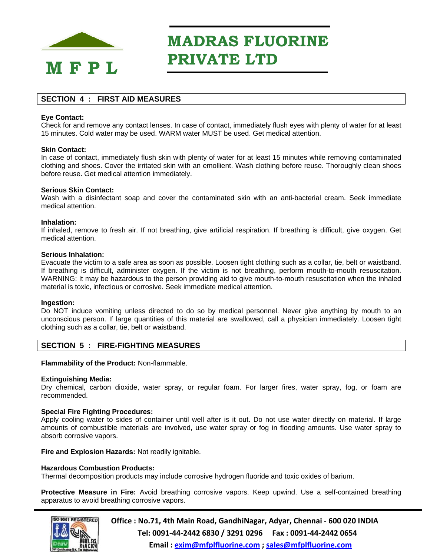

## **SECTION 4 : FIRST AID MEASURES**

#### **Eye Contact:**

Check for and remove any contact lenses. In case of contact, immediately flush eyes with plenty of water for at least 15 minutes. Cold water may be used. WARM water MUST be used. Get medical attention.

#### **Skin Contact:**

In case of contact, immediately flush skin with plenty of water for at least 15 minutes while removing contaminated clothing and shoes. Cover the irritated skin with an emollient. Wash clothing before reuse. Thoroughly clean shoes before reuse. Get medical attention immediately.

#### **Serious Skin Contact:**

Wash with a disinfectant soap and cover the contaminated skin with an anti-bacterial cream. Seek immediate medical attention.

#### **Inhalation:**

If inhaled, remove to fresh air. If not breathing, give artificial respiration. If breathing is difficult, give oxygen. Get medical attention.

#### **Serious Inhalation:**

Evacuate the victim to a safe area as soon as possible. Loosen tight clothing such as a collar, tie, belt or waistband. If breathing is difficult, administer oxygen. If the victim is not breathing, perform mouth-to-mouth resuscitation. WARNING: It may be hazardous to the person providing aid to give mouth-to-mouth resuscitation when the inhaled material is toxic, infectious or corrosive. Seek immediate medical attention.

#### **Ingestion:**

Do NOT induce vomiting unless directed to do so by medical personnel. Never give anything by mouth to an unconscious person. If large quantities of this material are swallowed, call a physician immediately. Loosen tight clothing such as a collar, tie, belt or waistband.

## **SECTION 5 : FIRE-FIGHTING MEASURES**

#### **Flammability of the Product:** Non-flammable.

#### **Extinguishing Media:**

Dry chemical, carbon dioxide, water spray, or regular foam. For larger fires, water spray, fog, or foam are recommended.

#### **Special Fire Fighting Procedures:**

Apply cooling water to sides of container until well after is it out. Do not use water directly on material. If large amounts of combustible materials are involved, use water spray or fog in flooding amounts. Use water spray to absorb corrosive vapors.

**Fire and Explosion Hazards:** Not readily ignitable.

#### **Hazardous Combustion Products:**

Thermal decomposition products may include corrosive hydrogen fluoride and toxic oxides of barium.

**Protective Measure in Fire:** Avoid breathing corrosive vapors. Keep upwind. Use a self-contained breathing apparatus to avoid breathing corrosive vapors.

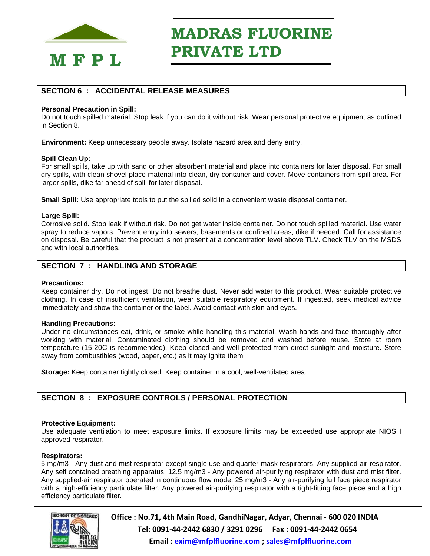

## **SECTION 6 : ACCIDENTAL RELEASE MEASURES**

#### **Personal Precaution in Spill:**

Do not touch spilled material. Stop leak if you can do it without risk. Wear personal protective equipment as outlined in Section 8.

**Environment:** Keep unnecessary people away. Isolate hazard area and deny entry.

#### **Spill Clean Up:**

For small spills, take up with sand or other absorbent material and place into containers for later disposal. For small dry spills, with clean shovel place material into clean, dry container and cover. Move containers from spill area. For larger spills, dike far ahead of spill for later disposal.

**Small Spill:** Use appropriate tools to put the spilled solid in a convenient waste disposal container.

#### **Large Spill:**

Corrosive solid. Stop leak if without risk. Do not get water inside container. Do not touch spilled material. Use water spray to reduce vapors. Prevent entry into sewers, basements or confined areas; dike if needed. Call for assistance on disposal. Be careful that the product is not present at a concentration level above TLV. Check TLV on the MSDS and with local authorities.

### **SECTION 7 : HANDLING AND STORAGE**

#### **Precautions:**

Keep container dry. Do not ingest. Do not breathe dust. Never add water to this product. Wear suitable protective clothing. In case of insufficient ventilation, wear suitable respiratory equipment. If ingested, seek medical advice immediately and show the container or the label. Avoid contact with skin and eyes.

#### **Handling Precautions:**

Under no circumstances eat, drink, or smoke while handling this material. Wash hands and face thoroughly after working with material. Contaminated clothing should be removed and washed before reuse. Store at room temperature (15-20C is recommended). Keep closed and well protected from direct sunlight and moisture. Store away from combustibles (wood, paper, etc.) as it may ignite them

**Storage:** Keep container tightly closed. Keep container in a cool, well-ventilated area.

## **SECTION 8 : EXPOSURE CONTROLS / PERSONAL PROTECTION**

#### **Protective Equipment:**

Use adequate ventilation to meet exposure limits. If exposure limits may be exceeded use appropriate NIOSH approved respirator.

#### **Respirators:**

5 mg/m3 - Any dust and mist respirator except single use and quarter-mask respirators. Any supplied air respirator. Any self contained breathing apparatus. 12.5 mg/m3 - Any powered air-purifying respirator with dust and mist filter. Any supplied-air respirator operated in continuous flow mode. 25 mg/m3 - Any air-purifying full face piece respirator with a high-efficiency particulate filter. Any powered air-purifying respirator with a tight-fitting face piece and a high efficiency particulate filter.

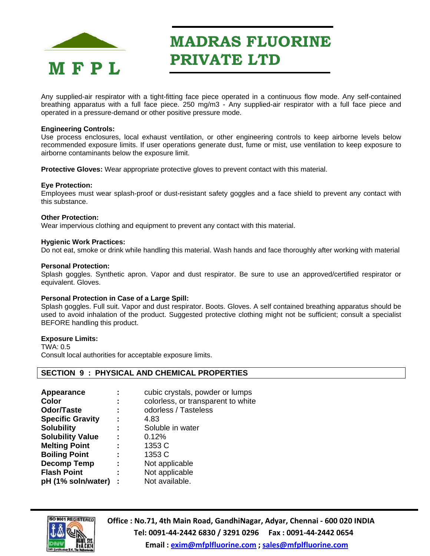

Any supplied-air respirator with a tight-fitting face piece operated in a continuous flow mode. Any self-contained breathing apparatus with a full face piece. 250 mg/m3 - Any supplied-air respirator with a full face piece and operated in a pressure-demand or other positive pressure mode.

#### **Engineering Controls:**

Use process enclosures, local exhaust ventilation, or other engineering controls to keep airborne levels below recommended exposure limits. If user operations generate dust, fume or mist, use ventilation to keep exposure to airborne contaminants below the exposure limit.

**Protective Gloves:** Wear appropriate protective gloves to prevent contact with this material.

#### **Eye Protection:**

Employees must wear splash-proof or dust-resistant safety goggles and a face shield to prevent any contact with this substance.

#### **Other Protection:**

Wear impervious clothing and equipment to prevent any contact with this material.

#### **Hygienic Work Practices:**

Do not eat, smoke or drink while handling this material. Wash hands and face thoroughly after working with material

#### **Personal Protection:**

Splash goggles. Synthetic apron. Vapor and dust respirator. Be sure to use an approved/certified respirator or equivalent. Gloves.

#### **Personal Protection in Case of a Large Spill:**

Splash goggles. Full suit. Vapor and dust respirator. Boots. Gloves. A self contained breathing apparatus should be used to avoid inhalation of the product. Suggested protective clothing might not be sufficient; consult a specialist BEFORE handling this product.

#### **Exposure Limits:**

TWA: 0.5 Consult local authorities for acceptable exposure limits.

#### **SECTION 9 : PHYSICAL AND CHEMICAL PROPERTIES**

| <b>Appearance</b>       |   | cubic crystals, powder or lumps    |
|-------------------------|---|------------------------------------|
| Color                   | ÷ | colorless, or transparent to white |
| <b>Odor/Taste</b>       | ÷ | odorless / Tasteless               |
| <b>Specific Gravity</b> |   | 4.83                               |
| <b>Solubility</b>       | ÷ | Soluble in water                   |
| <b>Solubility Value</b> |   | 0.12%                              |
| <b>Melting Point</b>    |   | 1353 C                             |
| <b>Boiling Point</b>    |   | 1353 C                             |
| <b>Decomp Temp</b>      | ÷ | Not applicable                     |
| <b>Flash Point</b>      | ÷ | Not applicable                     |
| pH (1% soln/water)      |   | Not available.                     |

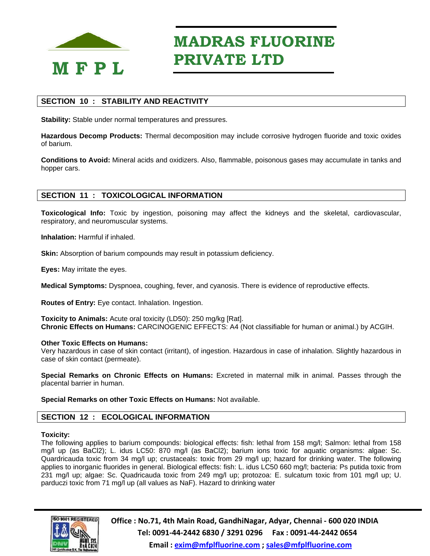

## **SECTION 10 : STABILITY AND REACTIVITY**

**Stability:** Stable under normal temperatures and pressures.

**Hazardous Decomp Products:** Thermal decomposition may include corrosive hydrogen fluoride and toxic oxides of barium.

**Conditions to Avoid:** Mineral acids and oxidizers. Also, flammable, poisonous gases may accumulate in tanks and hopper cars.

## **SECTION 11 : TOXICOLOGICAL INFORMATION**

**Toxicological Info:** Toxic by ingestion, poisoning may affect the kidneys and the skeletal, cardiovascular, respiratory, and neuromuscular systems.

**Inhalation:** Harmful if inhaled.

**Skin:** Absorption of barium compounds may result in potassium deficiency.

**Eyes:** May irritate the eyes.

**Medical Symptoms:** Dyspnoea, coughing, fever, and cyanosis. There is evidence of reproductive effects.

**Routes of Entry:** Eye contact. Inhalation. Ingestion.

**Toxicity to Animals:** Acute oral toxicity (LD50): 250 mg/kg [Rat]. **Chronic Effects on Humans:** CARCINOGENIC EFFECTS: A4 (Not classifiable for human or animal.) by ACGIH.

#### **Other Toxic Effects on Humans:**

Very hazardous in case of skin contact (irritant), of ingestion. Hazardous in case of inhalation. Slightly hazardous in case of skin contact (permeate).

**Special Remarks on Chronic Effects on Humans:** Excreted in maternal milk in animal. Passes through the placental barrier in human.

**Special Remarks on other Toxic Effects on Humans:** Not available.

## **SECTION 12 : ECOLOGICAL INFORMATION**

#### **Toxicity:**

The following applies to barium compounds: biological effects: fish: lethal from 158 mg/l; Salmon: lethal from 158 mg/l up (as BaCl2); L. idus LC50: 870 mg/l (as BaCl2); barium ions toxic for aquatic organisms: algae: Sc. Quardricauda toxic from 34 mg/l up; crustaceals: toxic from 29 mg/l up; hazard for drinking water. The following applies to inorganic fluorides in general. Biological effects: fish: L. idus LC50 660 mg/l; bacteria: Ps putida toxic from 231 mg/l up; algae: Sc. Quadricauda toxic from 249 mg/l up; protozoa: E. sulcatum toxic from 101 mg/l up; U. parduczi toxic from 71 mg/l up (all values as NaF). Hazard to drinking water

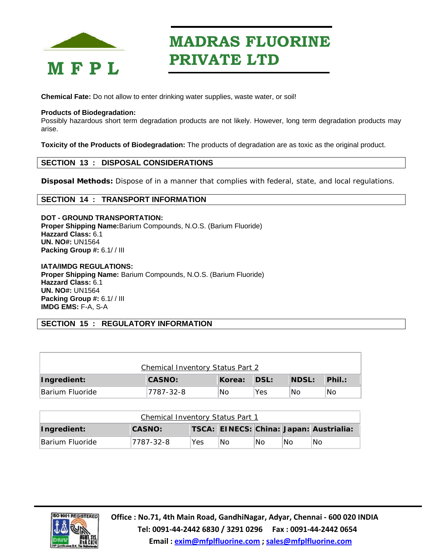

**Chemical Fate:** Do not allow to enter drinking water supplies, waste water, or soil!

#### **Products of Biodegradation:**

Possibly hazardous short term degradation products are not likely. However, long term degradation products may arise.

**Toxicity of the Products of Biodegradation:** The products of degradation are as toxic as the original product.

## **SECTION 13 : DISPOSAL CONSIDERATIONS**

**Disposal Methods:** Dispose of in a manner that complies with federal, state, and local regulations.

#### **SECTION 14 : TRANSPORT INFORMATION**

**DOT - GROUND TRANSPORTATION: Proper Shipping Name:**Barium Compounds, N.O.S. (Barium Fluoride) **Hazzard Class:** 6.1 **UN. NO#:** UN1564 **Packing Group #:** 6.1/ / III

**IATA/IMDG REGULATIONS: Proper Shipping Name:** Barium Compounds, N.O.S. (Barium Fluoride) **Hazzard Class:** 6.1 **UN. NO#:** UN1564 **Packing Group #:** 6.1/ / III **IMDG EMS:** F-A, S-A

## **SECTION 15 : REGULATORY INFORMATION**

| <b>Chemical Inventory Status Part 2</b> |               |        |                   |              |                  |  |  |
|-----------------------------------------|---------------|--------|-------------------|--------------|------------------|--|--|
| Ingredient:                             | <b>CASNO:</b> | Korea: | $\mathsf{IDSL}$ : | <b>NDSL:</b> | $\mathsf{Phi}$ : |  |  |
| Barium Fluoride                         | 7787-32-8     | No     | Yes               | No           | 'No              |  |  |

| Chemical Inventory Status Part 1                                        |            |     |      |    |    |    |
|-------------------------------------------------------------------------|------------|-----|------|----|----|----|
| TSCA: EINECS: China: Japan: Austrialia:<br><b>CASNO:</b><br>Ingredient: |            |     |      |    |    |    |
| Barium Fluoride                                                         | 17787-32-8 | Yes | INo. | No | No | No |